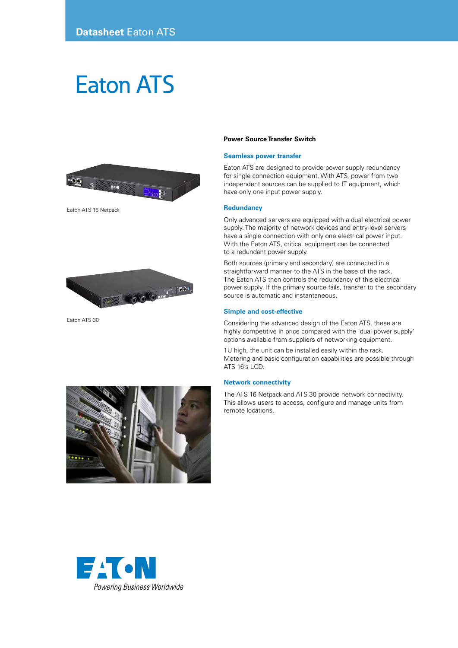# Eaton ATS



Eaton ATS 16 Netpack



Eaton ATS 30

# **Power Source Transfer Switch**

# **Seamless power transfer**

Eaton ATS are designed to provide power supply redundancy for single connection equipment. With ATS, power from two independent sources can be supplied to IT equipment, which have only one input power supply.

### **Redundancy**

Only advanced servers are equipped with a dual electrical power supply. The majority of network devices and entry-level servers have a single connection with only one electrical power input. With the Eaton ATS, critical equipment can be connected to a redundant power supply.

Both sources (primary and secondary) are connected in a straightforward manner to the ATS in the base of the rack. The Eaton ATS then controls the redundancy of this electrical power supply. If the primary source fails, transfer to the secondary source is automatic and instantaneous.

## **Simple and cost-effective**

Considering the advanced design of the Eaton ATS, these are highly competitive in price compared with the 'dual power supply' options available from suppliers of networking equipment.

1U high, the unit can be installed easily within the rack. Metering and basic configuration capabilities are possible through ATS 16's LCD.

## **Network connectivity**

The ATS 16 Netpack and ATS 30 provide network connectivity. This allows users to access, configure and manage units from remote locations.